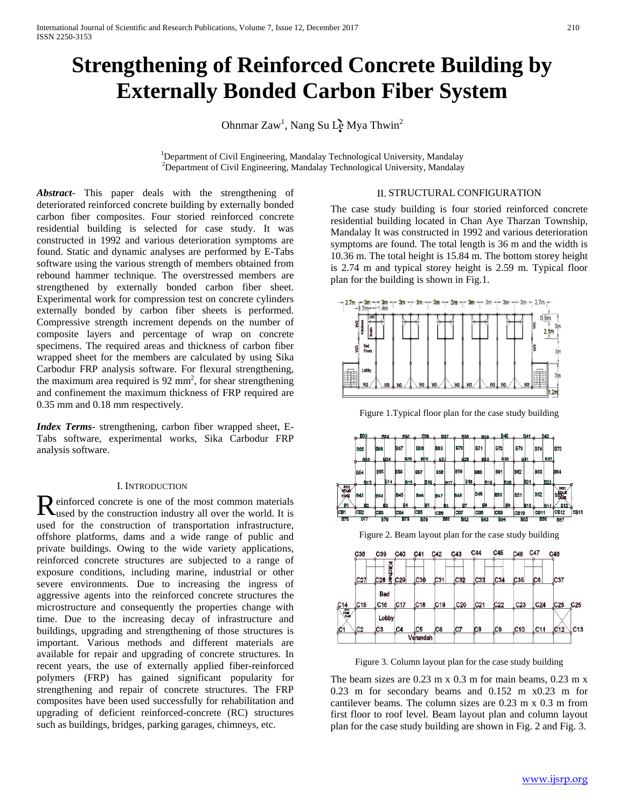# **Strengthening of Reinforced Concrete Building by Externally Bonded Carbon Fiber System**

Ohnmar Zaw<sup>1</sup>, Nang Su L**è** Mya Thwin<sup>2</sup>

<sup>1</sup>Department of Civil Engineering, Mandalay Technological University, Mandalay <sup>2</sup>Department of Civil Engineering, Mandalay Technological University, Mandalay  $^{2}$ Department of Civil Engineering, Mandalay Technological University, Mandalay

*Abstract*- This paper deals with the strengthening of deteriorated reinforced concrete building by externally bonded carbon fiber composites. Four storied reinforced concrete residential building is selected for case study. It was constructed in 1992 and various deterioration symptoms are found. Static and dynamic analyses are performed by E-Tabs software using the various strength of members obtained from rebound hammer technique. The overstressed members are strengthened by externally bonded carbon fiber sheet. Experimental work for compression test on concrete cylinders externally bonded by carbon fiber sheets is performed. Compressive strength increment depends on the number of composite layers and percentage of wrap on concrete specimens. The required areas and thickness of carbon fiber wrapped sheet for the members are calculated by using Sika Carbodur FRP analysis software. For flexural strengthening, the maximum area required is  $92 \text{ mm}^2$ , for shear strengthening and confinement the maximum thickness of FRP required are 0.35 mm and 0.18 mm respectively.

*Index Terms*- strengthening, carbon fiber wrapped sheet, E-Tabs software, experimental works, Sika Carbodur FRP analysis software.

## I. INTRODUCTION

einforced concrete is one of the most common materials  $\mathbf R$  einforced concrete is one of the most common materials used by the construction industry all over the world. It is used for the construction of transportation infrastructure, offshore platforms, dams and a wide range of public and private buildings. Owing to the wide variety applications, reinforced concrete structures are subjected to a range of exposure conditions, including marine, industrial or other severe environments. Due to increasing the ingress of aggressive agents into the reinforced concrete structures the microstructure and consequently the properties change with time. Due to the increasing decay of infrastructure and buildings, upgrading and strengthening of those structures is important. Various methods and different materials are available for repair and upgrading of concrete structures. In recent years, the use of externally applied fiber-reinforced polymers (FRP) has gained significant popularity for strengthening and repair of concrete structures. The FRP composites have been used successfully for rehabilitation and upgrading of deficient reinforced-concrete (RC) structures such as buildings, bridges, parking garages, chimneys, etc.

## II. STRUCTURAL CONFIGURATION

The case study building is four storied reinforced concrete residential building located in Chan Aye Tharzan Township, Mandalay It was constructed in 1992 and various deterioration symptoms are found. The total length is 36 m and the width is 10.36 m. The total height is 15.84 m. The bottom storey height is 2.74 m and typical storey height is 2.59 m. Typical floor plan for the building is shown in Fig.1.



Figure 1.Typical floor plan for the case study building



Figure 3. Column layout plan for the case study building

The beam sizes are 0.23 m x 0.3 m for main beams, 0.23 m x 0.23 m for secondary beams and 0.152 m x0.23 m for cantilever beams. The column sizes are 0.23 m x 0.3 m from first floor to roof level. Beam layout plan and column layout plan for the case study building are shown in Fig. 2 and Fig. 3.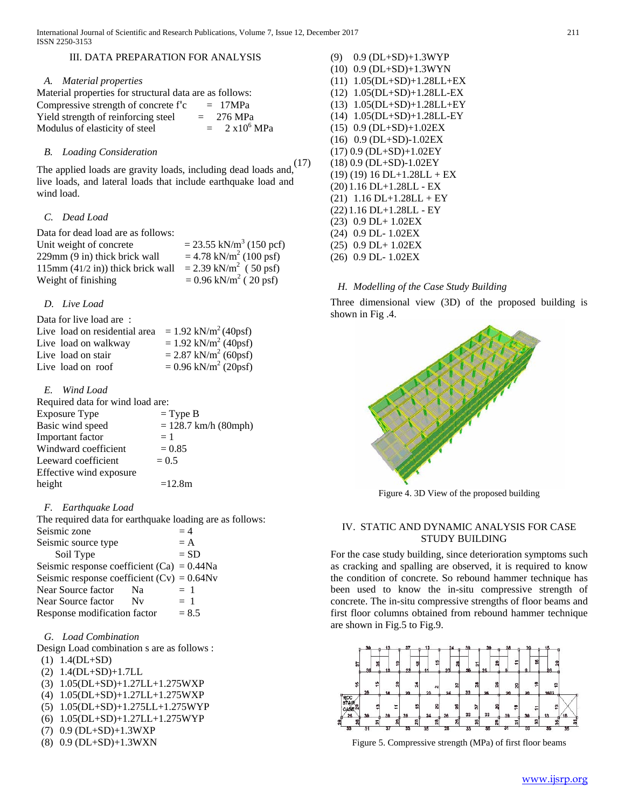# III. DATA PREPARATION FOR ANALYSIS

#### *A. Material properties*

| Material properties for structural data are as follows: |                            |
|---------------------------------------------------------|----------------------------|
| Compressive strength of concrete f'c                    | $= 17 MPa$                 |
| Yield strength of reinforcing steel                     | $= 276 \text{ MPa}$        |
| Modulus of elasticity of steel                          | $2 \times 10^6$ MPa<br>$=$ |

### *B. Loading Consideration*

The applied loads are gravity loads, including dead loads and,  $(17)$ live loads, and lateral loads that include earthquake load and wind load.

#### *C. Dead Load*

Data for dead load are as follows: Unit weight of concrete  $= 23.55 \text{ kN/m}^3$  (150 pcf) 229mm (9 in) thick brick wall  $= 4.78 \text{ kN/m}^2 (100 \text{ psf})$ 115mm (41/2 in)) thick brick wall = 2.39 kN/m<sup>2</sup> (50 psf) Weight of finishing  $= 0.96 \text{ kN/m}^2$  (20 psf)

## *D. Live Load*

| Data for live load are:       |                                    |
|-------------------------------|------------------------------------|
| Live load on residential area | $= 1.92$ kN/m <sup>2</sup> (40psf) |
| Live load on walkway          | $= 1.92$ kN/m <sup>2</sup> (40psf) |
| Live load on stair            | $= 2.87$ kN/m <sup>2</sup> (60psf) |
| Live load on roof             | $= 0.96$ kN/m <sup>2</sup> (20psf) |

*E. Wind Load*

| Required data for wind load are: |                        |
|----------------------------------|------------------------|
| <b>Exposure Type</b>             | $=$ Type B             |
| Basic wind speed                 | $= 128.7$ km/h (80mph) |
| Important factor                 | $=1$                   |
| Windward coefficient             | $= 0.85$               |
| Leeward coefficient              | $= 0.5$                |
| Effective wind exposure          |                        |
| height                           | $=12.8m$               |
|                                  |                        |

#### *F. Earthquake Load*

The required data for earthquake loading are as follows: Seismic zone  $= 4$ Seismic source type  $= A$ Soil Type  $= SD$ Seismic response coefficient (Ca) =  $0.44$ Na Seismic response coefficient  $(Cv) = 0.64Nv$ Near Source factor  $Na = 1$ Near Source factor  $Nv = 1$ Response modification factor  $= 8.5$ 

#### *G. Load Combination*

Design Load combination s are as follows : (1) 1.4(DL+SD)

- (2) 1.4(DL+SD)+1.7LL
- (3) 1.05(DL+SD)+1.27LL+1.275WXP
- (4) 1.05(DL+SD)+1.27LL+1.275WXP
- (5) 1.05(DL+SD)+1.275LL+1.275WYP
- (6) 1.05(DL+SD)+1.27LL+1.275WYP
- (7) 0.9 (DL+SD)+1.3WXP
- (8) 0.9 (DL+SD)+1.3WXN

(9) 0.9 (DL+SD)+1.3WYP (10) 0.9 (DL+SD)+1.3WYN (11) 1.05(DL+SD)+1.28LL+EX (12) 1.05(DL+SD)+1.28LL-EX (13) 1.05(DL+SD)+1.28LL+EY (14) 1.05(DL+SD)+1.28LL-EY (15) 0.9 (DL+SD)+1.02EX (16) 0.9 (DL+SD)-1.02EX (17) 0.9 (DL+SD)+1.02EY (17) (18) 0.9 (DL+SD)-1.02EY  $(19) (19) 16 D1+1.28L1+EX$ (20) 1.16 DL+1.28LL - EX  $(21)$  1.16 DL+1.28LL + EY (22) 1.16 DL+1.28LL - EY (23) 0.9 DL+ 1.02EX (24) 0.9 DL- 1.02EX (25) 0.9 DL+ 1.02EX (26) 0.9 DL- 1.02EX

# *H. Modelling of the Case Study Building*

Three dimensional view (3D) of the proposed building is shown in Fig .4.



Figure 4. 3D View of the proposed building

# IV. STATIC AND DYNAMIC ANALYSIS FOR CASE STUDY BUILDING

For the case study building, since deterioration symptoms such as cracking and spalling are observed, it is required to know the condition of concrete. So rebound hammer technique has been used to know the in-situ compressive strength of concrete. The in-situ compressive strengths of floor beams and first floor columns obtained from rebound hammer technique are shown in Fig.5 to Fig.9.



Figure 5. Compressive strength (MPa) of first floor beams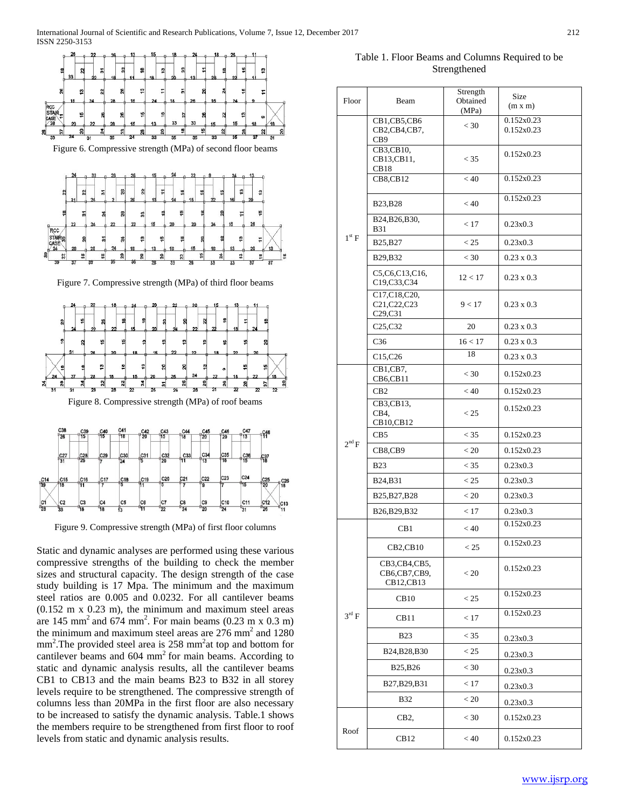

Figure 9. Compressive strength (MPa) of first floor columns

Static and dynamic analyses are performed using these various compressive strengths of the building to check the member sizes and structural capacity. The design strength of the case study building is 17 Mpa. The minimum and the maximum steel ratios are 0.005 and 0.0232. For all cantilever beams (0.152 m x 0.23 m), the minimum and maximum steel areas are 145 mm<sup>2</sup> and 674 mm<sup>2</sup>. For main beams  $(0.23 \text{ m} \times 0.3 \text{ m})$ the minimum and maximum steel areas are  $276$  mm<sup>2</sup> and  $1280$ mm<sup>2</sup>. The provided steel area is 258 mm<sup>2</sup> at top and bottom for cantilever beams and 604 mm<sup>2</sup> for main beams. According to static and dynamic analysis results, all the cantilever beams CB1 to CB13 and the main beams B23 to B32 in all storey levels require to be strengthened. The compressive strength of columns less than 20MPa in the first floor are also necessary to be increased to satisfy the dynamic analysis. Table.1 shows the members require to be strengthened from first floor to roof levels from static and dynamic analysis results.

Table 1. Floor Beams and Columns Required to be Strengthened

| Floor             | Beam                                                | Strength<br>Obtained | Size<br>(m x m)          |
|-------------------|-----------------------------------------------------|----------------------|--------------------------|
|                   | CB1,CB5,CB6<br>CB2,CB4,CB7,                         | (MPa)<br>$<$ 30      | 0.152x0.23<br>0.152x0.23 |
|                   | CB9<br>CB3,CB10,                                    |                      | 0.152x0.23               |
|                   | CB13,CB11,<br>CB <sub>18</sub>                      | $<$ 35               | 0.152x0.23               |
|                   | <b>CB8,CB12</b>                                     | < 40                 |                          |
|                   | <b>B23, B28</b>                                     | < 40                 | 0.152x0.23               |
|                   | B24, B26, B30,<br>B31                               | < 17                 | 0.23x0.3                 |
| $1^{\text{st}} F$ | B25, B27                                            | < 25                 | 0.23x0.3                 |
|                   | B29, B32                                            | $<$ 30               | $0.23 \times 0.3$        |
|                   | C5,C6,C13,C16,<br>C19,C33,C34                       | 12 < 17              | $0.23 \times 0.3$        |
|                   | C17, C18, C20,<br>C21, C22, C23<br>C29,C31          | 9 < 17               | $0.23 \times 0.3$        |
|                   | C25,C32                                             | 20                   | $0.23 \times 0.3$        |
|                   | C <sub>36</sub>                                     | 16 < 17              | $0.23 \times 0.3$        |
|                   | C <sub>15</sub> ,C <sub>26</sub>                    | 18                   | $0.23 \times 0.3$        |
|                   | CB1,CB7,<br>$CB6$ , $CB11$                          | $<$ 30               | 0.152x0.23               |
|                   | CB2                                                 | < 40                 | 0.152x0.23               |
|                   | $\overline{CB}$ 3,CB13,<br>CB4.<br>CB10,CB12        | < 25                 | 0.152x0.23               |
|                   | CB5                                                 | $<$ 35               | 0.152x0.23               |
| $2^{\text{nd}} F$ | CB8,CB9                                             | < 20                 | 0.152x0.23               |
|                   | <b>B23</b>                                          | < 35                 | 0.23x0.3                 |
|                   | B24, B31                                            | < 25                 | 0.23x0.3                 |
|                   | B <sub>25</sub> , B <sub>27</sub> , B <sub>28</sub> | < 20                 | 0.23x0.3                 |
|                   | B <sub>26</sub> , B <sub>29</sub> , B <sub>32</sub> | < 17                 | 0.23x0.3                 |
|                   | CB <sub>1</sub>                                     | < 40                 | 0.152x0.23               |
|                   | CB2,CB10                                            | < 25                 | 0.152x0.23               |
|                   | CB3,CB4,CB5,<br>CB6,CB7,CB9,<br>CB12,CB13           | < 20                 | 0.152x0.23               |
|                   | CB10                                                | < 25                 | 0.152x0.23               |
| $3^{\text{rd}}$ F | CB11                                                | < 17                 | 0.152x0.23               |
|                   | <b>B23</b>                                          | $<$ 35               | 0.23x0.3                 |
|                   | B24, B28, B30                                       | < 25                 | 0.23x0.3                 |
|                   | B25, B26                                            | $<$ 30               | 0.23x0.3                 |
|                   | B27, B29, B31                                       | < 17                 | 0.23x0.3                 |
|                   | B32                                                 | < 20                 | 0.23x0.3                 |
|                   | CB2,                                                | $<$ 30               | 0.152x0.23               |
| Roof              | CB12                                                | < 40                 | 0.152x0.23               |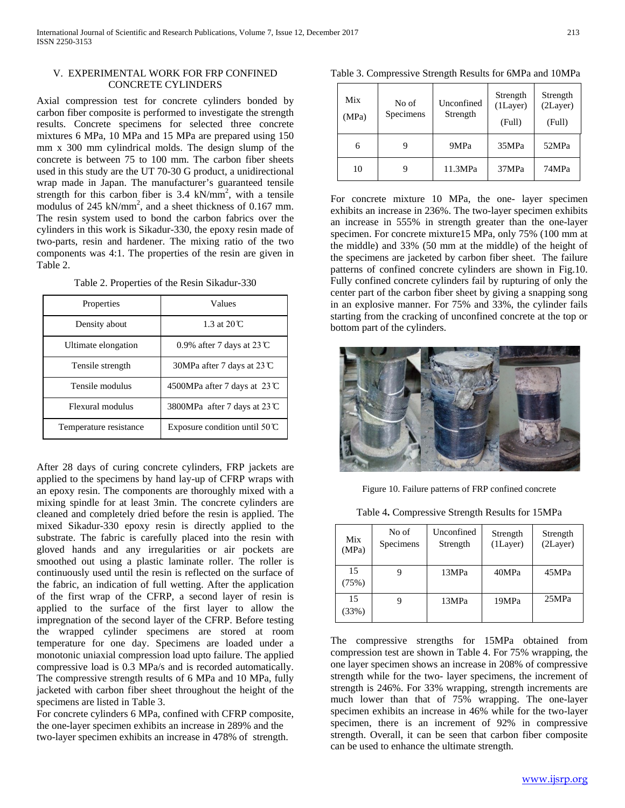# V. EXPERIMENTAL WORK FOR FRP CONFINED CONCRETE CYLINDERS

Axial compression test for concrete cylinders bonded by carbon fiber composite is performed to investigate the strength results. Concrete specimens for selected three concrete mixtures 6 MPa, 10 MPa and 15 MPa are prepared using 150 mm x 300 mm cylindrical molds. The design slump of the concrete is between 75 to 100 mm. The carbon fiber sheets used in this study are the UT 70-30 G product, a unidirectional wrap made in Japan. The manufacturer's guaranteed tensile strength for this carbon fiber is  $3.4 \text{ kN/mm}^2$ , with a tensile modulus of 245 kN/mm<sup>2</sup>, and a sheet thickness of 0.167 mm. The resin system used to bond the carbon fabrics over the cylinders in this work is Sikadur-330, the epoxy resin made of two-parts, resin and hardener. The mixing ratio of the two components was 4:1. The properties of the resin are given in Table 2.

|  | Table 2. Properties of the Resin Sikadur-330 |
|--|----------------------------------------------|
|--|----------------------------------------------|

| Properties             | Values                                  |
|------------------------|-----------------------------------------|
| Density about          | 1.3 at $20^\circ$ C                     |
| Ultimate elongation    | 0.9% after 7 days at $23 \text{°C}$     |
| Tensile strength       | 30MPa after 7 days at 23 $\mathbb{C}$   |
| Tensile modulus        | 4500MPa after 7 days at $23^\circ$ C    |
| Flexural modulus       | 3800MPa after 7 days at 23 $\mathbb{C}$ |
| Temperature resistance | Exposure condition until $50^{\circ}$ C |

After 28 days of curing concrete cylinders, FRP jackets are applied to the specimens by hand lay-up of CFRP wraps with an epoxy resin. The components are thoroughly mixed with a mixing spindle for at least 3min. The concrete cylinders are cleaned and completely dried before the resin is applied. The mixed Sikadur-330 epoxy resin is directly applied to the substrate. The fabric is carefully placed into the resin with gloved hands and any irregularities or air pockets are smoothed out using a plastic laminate roller. The roller is continuously used until the resin is reflected on the surface of the fabric, an indication of full wetting. After the application of the first wrap of the CFRP, a second layer of resin is applied to the surface of the first layer to allow the impregnation of the second layer of the CFRP. Before testing the wrapped cylinder specimens are stored at room temperature for one day. Specimens are loaded under a monotonic uniaxial compression load upto failure. The applied compressive load is 0.3 MPa/s and is recorded automatically. The compressive strength results of 6 MPa and 10 MPa, fully jacketed with carbon fiber sheet throughout the height of the specimens are listed in Table 3.

For concrete cylinders 6 MPa, confined with CFRP composite, the one-layer specimen exhibits an increase in 289% and the two-layer specimen exhibits an increase in 478% of strength.

Table 3. Compressive Strength Results for 6MPa and 10MPa

| Mix<br>(MPa) | No of<br>Specimens | Unconfined<br>Strength | Strength<br>$(1)$ Layer)<br>(Full) | Strength<br>(2Layer)<br>(Full) |
|--------------|--------------------|------------------------|------------------------------------|--------------------------------|
| 6            |                    | 9MPa                   | 35MPa                              | 52MPa                          |
| 10           |                    | 11.3MPa                | 37MPa                              | 74MPa                          |

For concrete mixture 10 MPa, the one- layer specimen exhibits an increase in 236%. The two-layer specimen exhibits an increase in 555% in strength greater than the one-layer specimen. For concrete mixture15 MPa, only 75% (100 mm at the middle) and 33% (50 mm at the middle) of the height of the specimens are jacketed by carbon fiber sheet. The failure patterns of confined concrete cylinders are shown in Fig.10. Fully confined concrete cylinders fail by rupturing of only the center part of the carbon fiber sheet by giving a snapping song in an explosive manner. For 75% and 33%, the cylinder fails starting from the cracking of unconfined concrete at the top or bottom part of the cylinders.



Figure 10. Failure patterns of FRP confined concrete

Table 4**.** Compressive Strength Results for 15MPa

| Mix<br>(MPa) | No of<br>Specimens | Unconfined<br>Strength | Strength<br>$(1)$ Layer) | Strength<br>(2Layer) |
|--------------|--------------------|------------------------|--------------------------|----------------------|
| 15<br>(75%)  |                    | 13MPa                  | 40MPa                    | 45MPa                |
| 15<br>(33%)  |                    | 13MPa                  | 19MPa                    | 25MPa                |

The compressive strengths for 15MPa obtained from compression test are shown in Table 4. For 75% wrapping, the one layer specimen shows an increase in 208% of compressive strength while for the two- layer specimens, the increment of strength is 246%. For 33% wrapping, strength increments are much lower than that of 75% wrapping. The one-layer specimen exhibits an increase in 46% while for the two-layer specimen, there is an increment of 92% in compressive strength. Overall, it can be seen that carbon fiber composite can be used to enhance the ultimate strength.